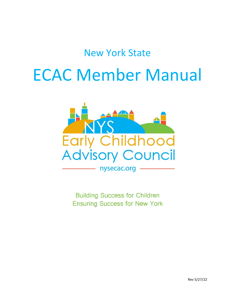## New York State

# ECAC Member Manual



**Building Success for Children Ensuring Success for New York**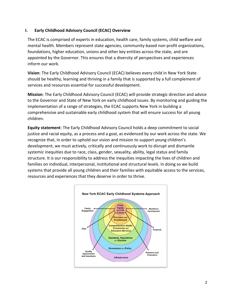#### **I. Early Childhood Advisory Council (ECAC) Overview**

The ECAC is comprised of experts in education, health care, family systems, child welfare and mental health. Members represent state agencies, community-based non-profit organizations, foundations, higher education, unions and other key entities across the state, and are appointed by the Governor. This ensures that a diversity of perspectives and experiences inform our work.

**Vision**: The Early Childhood Advisory Council (ECAC) believes every child in New York State should be healthy, learning and thriving in a family that is supported by a full complement of services and resources essential for successful development.

**Mission**: The Early Childhood Advisory Council (ECAC) will provide strategic direction and advice to the Governor and State of New York on early childhood issues. By monitoring and guiding the implementation of a range of strategies, the ECAC supports New York in building a comprehensive and sustainable early childhood system that will ensure success for all young children.

**Equity statement**: The Early Childhood Advisory Council holds a deep commitment to social justice and racial equity, as a process and a goal, as evidenced by our work across the state. We recognize that, in order to uphold our vision and mission to support young children's development, we must actively, critically and continuously work to disrupt and dismantle systemic inequities due to race, class, gender, sexuality, ability, legal status and family structure. It is our responsibility to address the inequities impacting the lives of children and families on individual, interpersonal, institutional and structural levels. In doing so we build systems that provide all young children and their families with equitable access to the services, resources and experiences that they deserve in order to thrive.

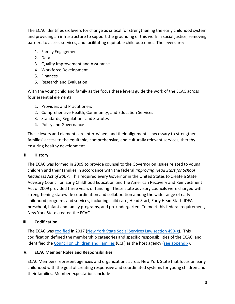The ECAC identifies six levers for change as critical for strengthening the early childhood system and providing an infrastructure to support the grounding of this work in social justice, removing barriers to access services, and facilitating equitable child outcomes. The levers are:

- 1. Family Engagement
- 2. Data
- 3. Quality Improvement and Assurance
- 4. Workforce Development
- 5. Finances
- 6. Research and Evaluation

With the young child and family as the focus these levers guide the work of the ECAC across four essential elements:

- 1. Providers and Practitioners
- 2. Comprehensive Health, Community, and Education Services
- 3. Standards, Regulations and Statutes
- 4. Policy and Governance

These levers and elements are intertwined, and their alignment is necessary to strengthen families' access to the equitable, comprehensive, and culturally relevant services, thereby ensuring healthy development.

#### **II. History**

The ECAC was formed in 2009 to provide counsel to the Governor on issues related to young children and their families in accordance with the federal *Improving Head Start for School Readiness Act of 2007*. This required every Governor in the United States to create a State Advisory Council on Early Childhood Education and the American Recovery and Reinvestment Act of 2009 provided three years of funding. These state advisory councils were charged with strengthening statewide coordination and collaboration among the wide range of early childhood programs and services, including child care, Head Start, Early Head Start, IDEA preschool, infant and family programs, and prekindergarten. To meet this federal requirement, New York State created the ECAC.

#### **III. Codification**

The ECAC was [codified](http://www.nysecac.org/application/files/3015/4751/6032/ECAC_LAW_CHAPTER_14_OF_THE_LAWS_OF_NY_2017.pdf) in 2017 [\(New York State Social Services Law section 490-g\)](file:///X:/NYS%20SSL%20490-g.docx). This codification defined the membership categories and specific responsibilities of the ECAC, and identified the [Council on Children and Families](https://www.ccf.ny.gov/) (CCF) as the host agency [\(see appendix\)](http://www.nysecac.org/application/files/3015/4751/6032/ECAC_LAW_CHAPTER_14_OF_THE_LAWS_OF_NY_2017.pdf).

#### **IV. ECAC Member Roles and Responsibilities**

ECAC Members represent agencies and organizations across New York State that focus on early childhood with the goal of creating responsive and coordinated systems for young children and their families. Member expectations include: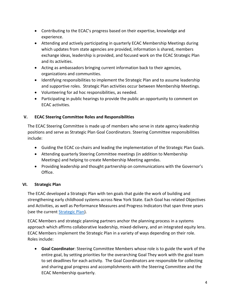- Contributing to the ECAC's progress based on their expertise, knowledge and experience.
- Attending and actively participating in quarterly ECAC Membership Meetings during which updates from state agencies are provided, information is shared, members exchange ideas, leadership is provided, and focused work on the ECAC Strategic Plan and its activities.
- Acting as ambassadors bringing current information back to their agencies, organizations and communities.
- Identifying responsibilities to implement the Strategic Plan and to assume leadership and supportive roles. Strategic Plan activities occur between Membership Meetings.
- Volunteering for ad hoc responsibilities, as needed.
- Participating in public hearings to provide the public an opportunity to comment on ECAC activities.

### **V. ECAC Steering Committee Roles and Responsibilities**

The ECAC Steering Committee is made up of members who serve in state agency leadership positions and serve as Strategic Plan Goal Coordinators. Steering Committee responsibilities include:

- Guiding the ECAC co-chairs and leading the implementation of the Strategic Plan Goals.
- Attending quarterly Steering Committee meetings (in addition to Membership Meetings) and helping to create Membership Meeting agendas.
- Providing leadership and thought partnership on communications with the Governor's Office.

#### **VI. Strategic Plan**

The ECAC developed a Strategic Plan with ten goals that guide the work of building and strengthening early childhood systems across New York State. Each Goal has related Objectives and Activities, as well as Performance Measures and Progress Indicators that span three years (see the current **Strategic Plan**).

ECAC Members and strategic planning partners anchor the planning process in a systems approach which affirms collaborative leadership, mixed-delivery, and an integrated equity lens. ECAC Members implement the Strategic Plan in a variety of ways depending on their role. Roles include:

• **Goal Coordinator**: Steering Committee Members whose role is to guide the work of the entire goal, by setting priorities for the overarching Goal They work with the goal team to set deadlines for each activity. The Goal Coordinators are responsible for collecting and sharing goal progress and accomplishments with the Steering Committee and the ECAC Membership quarterly.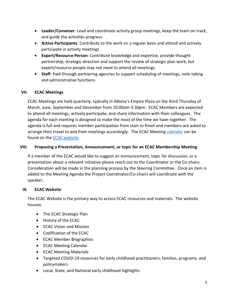- **Leader/Convener**: Lead and coordinate activity group meetings, keep the team on track, and guide the activities progress.
- **Active Participants**: Contribute to the work on a regular basis and attend and actively participate in activity meetings.
- **Expert/Resource Person**: Contribute knowledge and expertise, provide thought partnership, strategic direction and support the review of strategic plan work, but expert/resource people may not need to attend all meetings.
- **Staff**: Paid through partnering agencies to support scheduling of meetings, note taking and administrative functions.

#### **VII. ECAC Meetings**

ECAC Meetings are held quarterly, typically in Albany's Empire Plaza on the third Thursday of March, June, September and December from 10:00am-3:30pm. ECAC Members are expected to attend all meetings, actively participate, and share information with their colleagues. The agenda for each meeting is designed to make the most of the time we have together. The agenda is full and requires member participation from start to finish and members are asked to arrange their travel to and from meetings accordingly. The ECAC Meeting [calendar](http://www.nysecac.org/events) can be found on the **ECAC** website.

#### **VIII. Proposing a Presentation, Announcement, or topic for an ECAC Membership Meeting**

If a member of the ECAC would like to suggest an announcement, topic for discussion, or a presentation about a relevant initiative please reach out to the Coordinator or the Co-chairs. Consideration will be made in the planning process by the Steering Committee. Once an item is added to the Meeting Agenda the Project Coordinator/Co-chairs will coordinate with the speaker.

#### **IX. ECAC Website**

The ECAC Website is the primary way to access ECAC resources and materials. The website houses:

- The ECAC Strategic Plan
- History of the ECAC
- ECAC Vision and Mission
- Codification of the ECAC
- ECAC Member Biographies
- ECAC Meeting Calendar
- ECAC Meeting Materials
- Targeted COVID-19 resources for early childhood practitioners, families, programs, and policymakers
- Local, State, and National early childhood highlights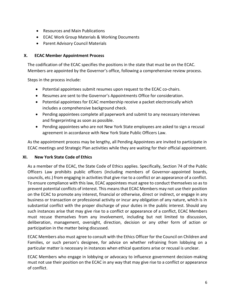- Resources and Main Publications
- ECAC Work Group Materials & Working Documents
- Parent Advisory Council Materials

#### **X. ECAC Member Appointment Process**

The codification of the ECAC specifies the positions in the state that must be on the ECAC. Members are appointed by the Governor's office, following a comprehensive review process.

Steps in the process include:

- Potential appointees submit resumes upon request to the ECAC co-chairs.
- Resumes are sent to the Governor's Appointments Office for consideration.
- Potential appointees for ECAC membership receive a packet electronically which includes a comprehensive background check.
- Pending appointees complete all paperwork and submit to any necessary interviews and fingerprinting as soon as possible.
- Pending appointees who are not New York State employees are asked to sign a recusal agreement in accordance with New York State Public Officers Law.

As the appointment process may be lengthy, all Pending Appointees are invited to participate in ECAC meetings and Strategic Plan activities while they are waiting for their official appointment.

#### **XI. New York State Code of Ethics**

As a member of the ECAC, the State Code of Ethics applies. Specifically, Section 74 of the Public Officers Law prohibits public officers (including members of Governor-appointed boards, councils, etc.) from engaging in activities that give rise to a conflict or an appearance of a conflict. To ensure compliance with this law, ECAC appointees must agree to conduct themselves so as to prevent potential conflicts of interest. This means that ECAC Members may not use their position on the ECAC to promote any interest, financial or otherwise, direct or indirect, or engage in any business or transaction or professional activity or incur any obligation of any nature, which is in substantial conflict with the proper discharge of your duties in the public interest. Should any such instances arise that may give rise to a conflict or appearance of a conflict, ECAC Members must recuse themselves from any involvement, including but not limited to discussion, deliberation, management, oversight, direction, decision or any other form of action or participation in the matter being discussed.

ECAC Members also must agree to consult with the Ethics Officer for the Council on Children and Families, or such person's designee, for advice on whether refraining from lobbying on a particular matter is necessary in instances when ethical questions arise or recusal is unclear.

ECAC Members who engage in lobbying or advocacy to influence government decision-making must not use their position on the ECAC in any way that may give rise to a conflict or appearance of conflict.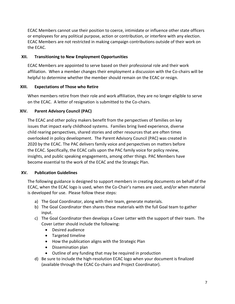ECAC Members cannot use their position to coerce, intimidate or influence other state officers or employees for any political purpose, action or contribution, or interfere with any election. ECAC Members are not restricted in making campaign contributions outside of their work on the ECAC.

#### **XII. Transitioning to New Employment Opportunities**

ECAC Members are appointed to serve based on their professional role and their work affiliation. When a member changes their employment a discussion with the Co-chairs will be helpful to determine whether the member should remain on the ECAC or resign.

#### **XIII. Expectations of Those who Retire**

When members retire from their role and work affiliation, they are no longer eligible to serve on the ECAC. A letter of resignation is submitted to the Co-chairs.

#### **XIV. Parent Advisory Council (PAC)**

The ECAC and other policy makers benefit from the perspectives of families on key issues that impact early childhood systems. Families bring lived experience, diverse child rearing perspectives, shared stories and other resources that are often times overlooked in policy development. The Parent Advisory Council (PAC) was created in 2020 by the ECAC. The PAC delivers family voice and perspectives on matters before the ECAC. Specifically, the ECAC calls upon the PAC family voice for policy review, insights, and public speaking engagements, among other things. PAC Members have become essential to the work of the ECAC and the Strategic Plan.

#### **XV. Publication Guidelines**

The following guidance is designed to support members in creating documents on behalf of the ECAC, when the ECAC logo is used, when the Co-Chair's names are used, and/or when material is developed for use. Please follow these steps:

- a) The Goal Coordinator, along with their team, generate materials.
- b) The Goal Coordinator then shares these materials with the full Goal team to gather input.
- c) The Goal Coordinator then develops a Cover Letter with the support of their team. The Cover Letter should include the following:
	- Desired audience
	- Targeted timeline
	- How the publication aligns with the Strategic Plan
	- Dissemination plan
	- Outline of any funding that may be required in production
- d) Be sure to include the high-resolution ECAC logo when your document is finalized (available through the ECAC Co-chairs and Project Coordinator).